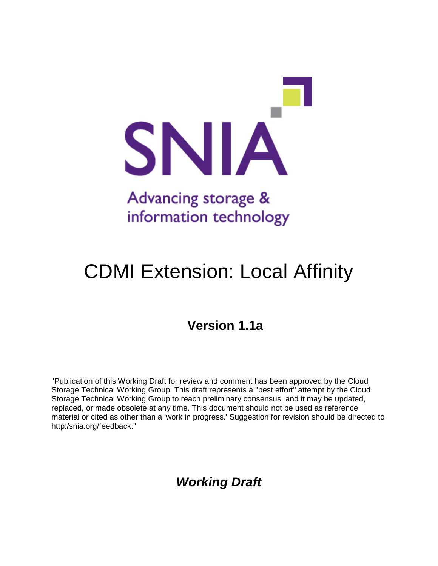

# CDMI Extension: Local Affinity

### **Version 1.1a**

"Publication of this Working Draft for review and comment has been approved by the Cloud Storage Technical Working Group. This draft represents a "best effort" attempt by the Cloud Storage Technical Working Group to reach preliminary consensus, and it may be updated, replaced, or made obsolete at any time. This document should not be used as reference material or cited as other than a 'work in progress.' Suggestion for revision should be directed to http:/snia.org/feedback."

### *Working Draft*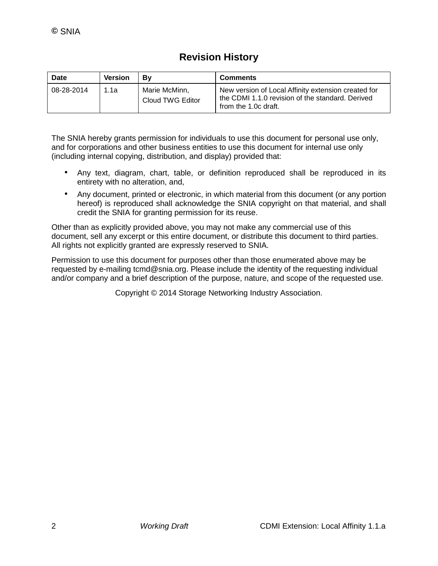### **Revision History**

| Date       | <b>Version</b> | Bv                                | <b>Comments</b>                                                                                                                 |
|------------|----------------|-----------------------------------|---------------------------------------------------------------------------------------------------------------------------------|
| 08-28-2014 | 1.1a           | Marie McMinn,<br>Cloud TWG Editor | New version of Local Affinity extension created for<br>the CDMI 1.1.0 revision of the standard. Derived<br>from the 1.0c draft. |

The SNIA hereby grants permission for individuals to use this document for personal use only, and for corporations and other business entities to use this document for internal use only (including internal copying, distribution, and display) provided that:

- Any text, diagram, chart, table, or definition reproduced shall be reproduced in its entirety with no alteration, and,
- Any document, printed or electronic, in which material from this document (or any portion hereof) is reproduced shall acknowledge the SNIA copyright on that material, and shall credit the SNIA for granting permission for its reuse.

Other than as explicitly provided above, you may not make any commercial use of this document, sell any excerpt or this entire document, or distribute this document to third parties. All rights not explicitly granted are expressly reserved to SNIA.

Permission to use this document for purposes other than those enumerated above may be requested by e-mailing tcmd@snia.org. Please include the identity of the requesting individual and/or company and a brief description of the purpose, nature, and scope of the requested use.

Copyright © 2014 Storage Networking Industry Association.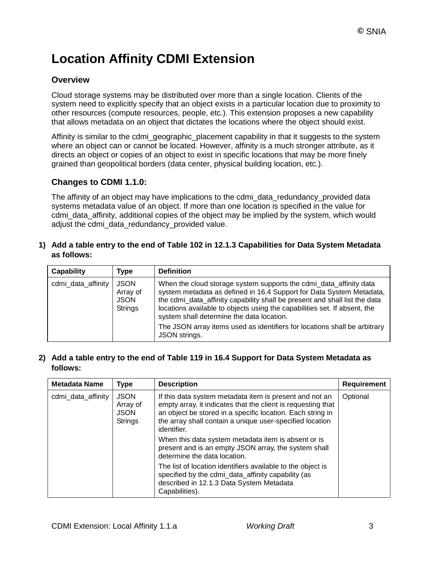## **Location Affinity CDMI Extension**

### **Overview**

Cloud storage systems may be distributed over more than a single location. Clients of the system need to explicitly specify that an object exists in a particular location due to proximity to other resources (compute resources, people, etc.). This extension proposes a new capability that allows metadata on an object that dictates the locations where the object should exist.

Affinity is similar to the cdmi\_geographic\_placement capability in that it suggests to the system where an object can or cannot be located. However, affinity is a much stronger attribute, as it directs an object or copies of an object to exist in specific locations that may be more finely grained than geopolitical borders (data center, physical building location, etc.).

#### **Changes to CDMI 1.1.0:**

The affinity of an object may have implications to the cdmi\_data\_redundancy\_provided data systems metadata value of an object. If more than one location is specified in the value for cdmi\_data\_affinity, additional copies of the object may be implied by the system, which would adjust the cdmi\_data\_redundancy\_provided value.

#### **1) Add a table entry to the end of Table 102 in 12.1.3 Capabilities for Data System Metadata as follows:**

| Capability                                                                     | Type | <b>Definition</b>                                                                                                                                                                                                                                                                                                                                  |
|--------------------------------------------------------------------------------|------|----------------------------------------------------------------------------------------------------------------------------------------------------------------------------------------------------------------------------------------------------------------------------------------------------------------------------------------------------|
| <b>JSON</b><br>cdmi_data_affinity<br>Array of<br><b>JSON</b><br><b>Strings</b> |      | When the cloud storage system supports the cdmi_data_affinity data<br>system metadata as defined in 16.4 Support for Data System Metadata,<br>the cdmi_data_affinity capability shall be present and shall list the data<br>locations available to objects using the capabilities set. If absent, the<br>system shall determine the data location. |
|                                                                                |      | The JSON array items used as identifiers for locations shall be arbitrary<br>JSON strings.                                                                                                                                                                                                                                                         |

#### **2) Add a table entry to the end of Table 119 in 16.4 Support for Data System Metadata as follows:**

| <b>Metadata Name</b> | Type                                                     | <b>Description</b>                                                                                                                                                                                                                                               | Requirement |
|----------------------|----------------------------------------------------------|------------------------------------------------------------------------------------------------------------------------------------------------------------------------------------------------------------------------------------------------------------------|-------------|
| cdmi_data_affinity   | <b>JSON</b><br>Array of<br><b>JSON</b><br><b>Strings</b> | If this data system metadata item is present and not an<br>empty array, it indicates that the client is requesting that<br>an object be stored in a specific location. Each string in<br>the array shall contain a unique user-specified location<br>identifier. | Optional    |
|                      |                                                          | When this data system metadata item is absent or is<br>present and is an empty JSON array, the system shall<br>determine the data location.                                                                                                                      |             |
|                      |                                                          | The list of location identifiers available to the object is<br>specified by the cdmi_data_affinity capability (as<br>described in 12.1.3 Data System Metadata<br>Capabilities).                                                                                  |             |